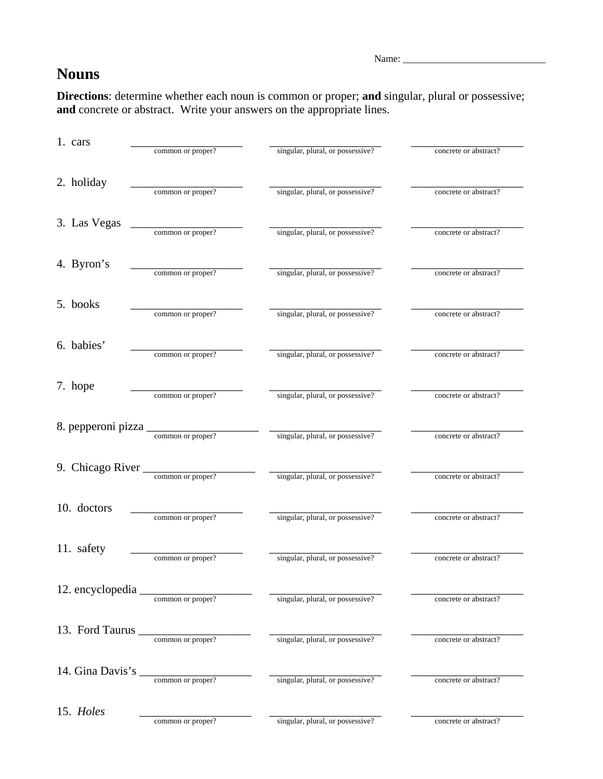Name: \_\_\_\_\_\_\_\_\_\_\_\_\_\_\_\_\_\_\_\_\_\_\_\_\_\_\_\_\_

## **Nouns**

**Directions**: determine whether each noun is common or proper; **and** singular, plural or possessive; **and** concrete or abstract. Write your answers on the appropriate lines.

| 1. cars            |                   |                                  |                       |
|--------------------|-------------------|----------------------------------|-----------------------|
|                    | common or proper? | singular, plural, or possessive? | concrete or abstract? |
| 2. holiday         |                   |                                  |                       |
|                    | common or proper? | singular, plural, or possessive? | concrete or abstract? |
| 3. Las Vegas       |                   |                                  |                       |
|                    | common or proper? | singular, plural, or possessive? | concrete or abstract? |
| 4. Byron's         |                   |                                  |                       |
|                    | common or proper? | singular, plural, or possessive? | concrete or abstract? |
| 5. books           |                   |                                  |                       |
|                    | common or proper? | singular, plural, or possessive? | concrete or abstract? |
| 6. babies'         | common or proper? | singular, plural, or possessive? | concrete or abstract? |
|                    |                   |                                  |                       |
| 7. hope            | common or proper? | singular, plural, or possessive? | concrete or abstract? |
|                    |                   |                                  |                       |
| 8. pepperoni pizza | common or proper? | singular, plural, or possessive? | concrete or abstract? |
|                    |                   |                                  |                       |
| 9. Chicago River   | common or proper? | singular, plural, or possessive? | concrete or abstract? |
|                    |                   |                                  |                       |
| 10. doctors        | common or proper? | singular, plural, or possessive? | concrete or abstract? |
| 11. safety         |                   |                                  |                       |
|                    | common or proper? | singular, plural, or possessive? | concrete or abstract? |
| 12. encyclopedia   |                   |                                  |                       |
|                    | common or proper? | singular, plural, or possessive? | concrete or abstract? |
| 13. Ford Taurus    |                   |                                  |                       |
|                    | common or proper? | singular, plural, or possessive? | concrete or abstract? |
| 14. Gina Davis's   | common or proper? |                                  |                       |
|                    |                   | singular, plural, or possessive? | concrete or abstract? |
| 15. Holes          | common or proper? | singular, plural, or possessive? | concrete or abstract? |
|                    |                   |                                  |                       |